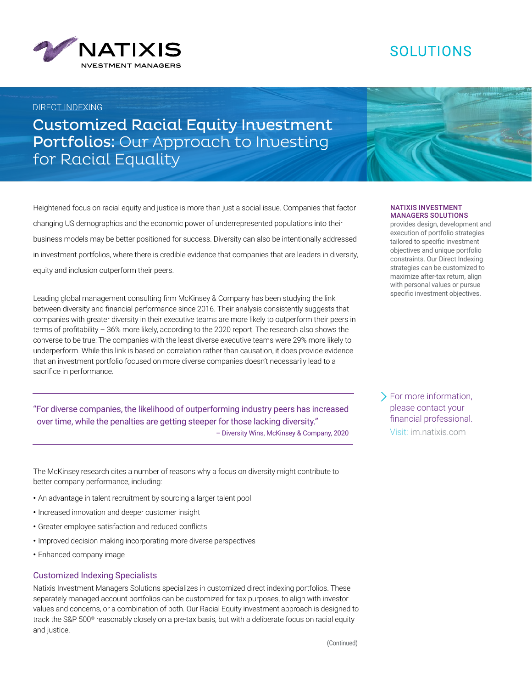

# SOLUTIONS

### DIRECT INDEXING

Customized Racial Equity Investment Portfolios: Our Approach to Investing for Racial Equality

Heightened focus on racial equity and justice is more than just a social issue. Companies that factor changing US demographics and the economic power of underrepresented populations into their business models may be better positioned for success. Diversity can also be intentionally addressed in investment portfolios, where there is credible evidence that companies that are leaders in diversity, equity and inclusion outperform their peers.

Leading global management consulting firm McKinsey & Company has been studying the link between diversity and financial performance since 2016. Their analysis consistently suggests that companies with greater diversity in their executive teams are more likely to outperform their peers in terms of profitability – 36% more likely, according to the 2020 report. The research also shows the converse to be true: The companies with the least diverse executive teams were 29% more likely to underperform. While this link is based on correlation rather than causation, it does provide evidence that an investment portfolio focused on more diverse companies doesn't necessarily lead to a sacrifice in performance.

"For diverse companies, the likelihood of outperforming industry peers has increased over time, while the penalties are getting steeper for those lacking diversity." – Diversity Wins, McKinsey & Company, 2020 Visit: [im.natixis.com](http://im.natixis.com)

The McKinsey research cites a number of reasons why a focus on diversity might contribute to better company performance, including:

- **•** An advantage in talent recruitment by sourcing a larger talent pool
- **•** Increased innovation and deeper customer insight
- **•** Greater employee satisfaction and reduced conflicts
- **•** Improved decision making incorporating more diverse perspectives
- **•** Enhanced company image

#### Customized Indexing Specialists

Natixis Investment Managers Solutions specializes in customized direct indexing portfolios. These separately managed account portfolios can be customized for tax purposes, to align with investor values and concerns, or a combination of both. Our Racial Equity investment approach is designed to track the S&P 500® reasonably closely on a pre-tax basis, but with a deliberate focus on racial equity and justice.

#### NATIXIS INVESTMENT MANAGERS SOLUTIONS

provides design, development and execution of portfolio strategies tailored to specific investment objectives and unique portfolio constraints. Our Direct Indexing strategies can be customized to maximize after-tax return, align with personal values or pursue specific investment objectives.

For more information, please contact your financial professional.